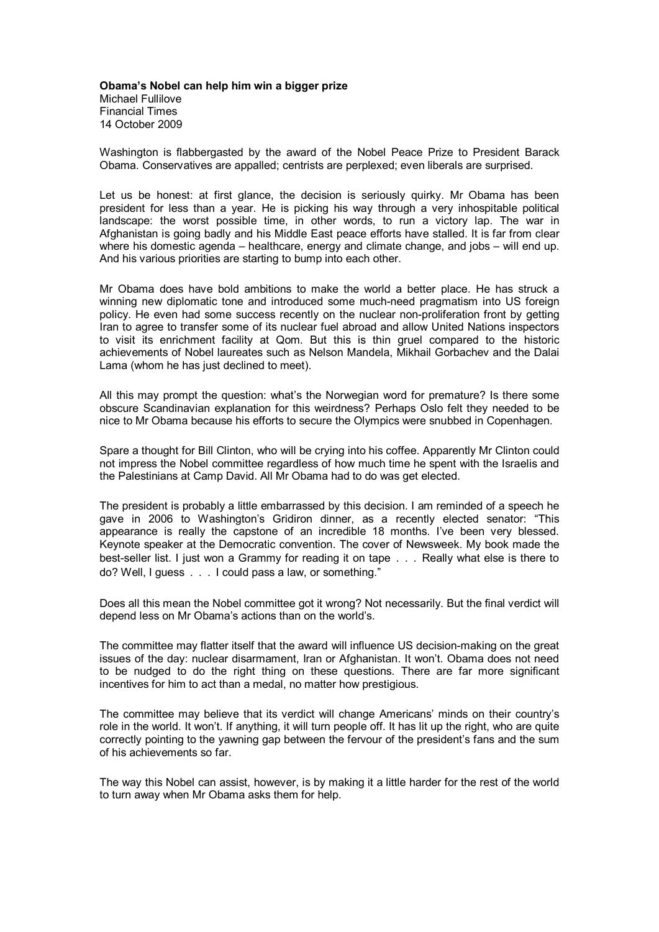**Obama's Nobel can help him win a bigger prize** Michael Fullilove Financial Times 14 October 2009

Washington is flabbergasted by the award of the Nobel Peace Prize to President Barack Obama. Conservatives are appalled; centrists are perplexed; even liberals are surprised.

Let us be honest: at first glance, the decision is seriously quirky. Mr Obama has been president for less than a year. He is picking his way through a very inhospitable political landscape: the worst possible time, in other words, to run a victory lap. The war in Afghanistan is going badly and his Middle East peace efforts have stalled. It is far from clear where his domestic agenda – healthcare, energy and climate change, and jobs – will end up. And his various priorities are starting to bump into each other.

Mr Obama does have bold ambitions to make the world a better place. He has struck a winning new diplomatic tone and introduced some much-need pragmatism into US foreign policy. He even had some success recently on the nuclear non-proliferation front by getting Iran to agree to transfer some of its nuclear fuel abroad and allow United Nations inspectors to visit its enrichment facility at Qom. But this is thin gruel compared to the historic achievements of Nobel laureates such as Nelson Mandela, Mikhail Gorbachev and the Dalai Lama (whom he has just declined to meet).

All this may prompt the question: what's the Norwegian word for premature? Is there some obscure Scandinavian explanation for this weirdness? Perhaps Oslo felt they needed to be nice to Mr Obama because his efforts to secure the Olympics were snubbed in Copenhagen.

Spare a thought for Bill Clinton, who will be crying into his coffee. Apparently Mr Clinton could not impress the Nobel committee regardless of how much time he spent with the Israelis and the Palestinians at Camp David. All Mr Obama had to do was get elected.

The president is probably a little embarrassed by this decision. I am reminded of a speech he gave in 2006 to Washington's Gridiron dinner, as a recently elected senator: "This appearance is really the capstone of an incredible 18 months. I've been very blessed. Keynote speaker at the Democratic convention. The cover of Newsweek. My book made the best-seller list. I just won a Grammy for reading it on tape . . . Really what else is there to do? Well, I guess .. . I could pass a law, or something."

Does all this mean the Nobel committee got it wrong? Not necessarily. But the final verdict will depend less on Mr Obama's actions than on the world's.

The committee may flatter itself that the award will influence US decision-making on the great issues of the day: nuclear disarmament, Iran or Afghanistan. It won't. Obama does not need to be nudged to do the right thing on these questions. There are far more significant incentives for him to act than a medal, no matter how prestigious.

The committee may believe that its verdict will change Americans' minds on their country's role in the world. It won't. If anything, it will turn people off. It has lit up the right, who are quite correctly pointing to the yawning gap between the fervour of the president's fans and the sum of his achievements so far.

The way this Nobel can assist, however, is by making it a little harder for the rest of the world to turn away when Mr Obama asks them for help.